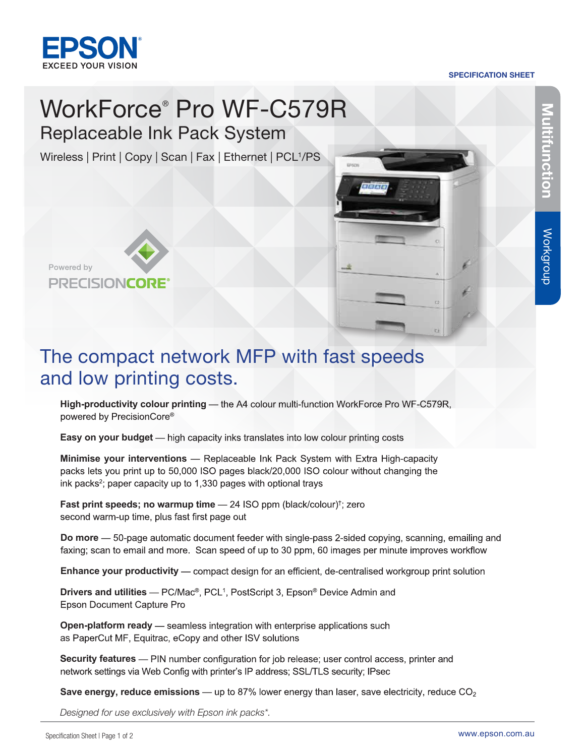

## SPECIFICATION SHEET

# WorkForce® Pro WF-C579R Replaceable Ink Pack System

Wireless | Print | Copy | Scan | Fax | Ethernet | PCL<sup>1</sup>/PS





# The compact network MFP with fast speeds and low printing costs.

**High-productivity colour printing** powered by PrecisionCore®

**Easy on your budget** — high capacity inks translates into low colour printing costs

**Minimise your interventions** packs lets you print up to 50,000 ISO pages black/20,000 ISO colour without changing the ink packs<sup>2</sup>; paper capacity up to 1,330 pages with optional trays

**Fast print speeds; no warmup time** - 24 ISO ppm (black/colour)<sup>†</sup>; zero second warm-up time, plus fast first page out

**Do more** — 50-page automatic document feeder with single-pass 2-sided copying, scanning, emailing and faxing; scan to email and more. Scan speed of up to 30 ppm, 60 images per minute improves workflow

**Enhance your productivity** — compact design for an efficient, de-centralised workgroup print solution

**Drivers and utilities Epson Document Capture Pro** 

**Open-platform ready** — seamless integration with enterprise applications such as PaperCut MF, Equitrac, eCopy and other ISV solutions

**Security features** — PIN number configuration for job release; user control access, printer and network settings via Web Config with printer's IP address; SSL/TLS security; IPsec

**Save energy, reduce emissions**

*Designed for use exclusively with Epson ink packs\*.*